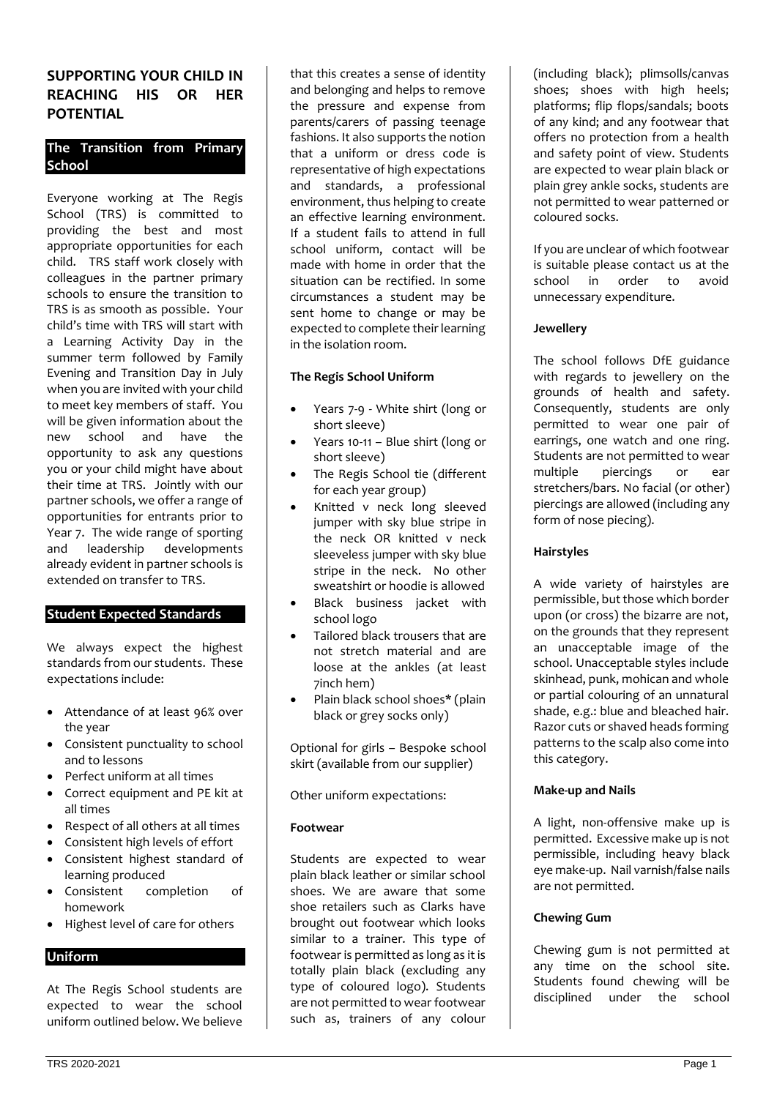# **SUPPORTING YOUR CHILD IN REACHING HIS OR HER POTENTIAL**

# **The Transition from Primary School**

Everyone working at The Regis School (TRS) is committed to providing the best and most appropriate opportunities for each child. TRS staff work closely with colleagues in the partner primary schools to ensure the transition to TRS is as smooth as possible. Your child's time with TRS will start with a Learning Activity Day in the summer term followed by Family Evening and Transition Day in July when you are invited with your child to meet key members of staff. You will be given information about the new school and have the opportunity to ask any questions you or your child might have about their time at TRS. Jointly with our partner schools, we offer a range of opportunities for entrants prior to Year 7. The wide range of sporting and leadership developments already evident in partner schools is extended on transfer to TRS.

# **Student Expected Standards**

We always expect the highest standards from our students. These expectations include:

- Attendance of at least 96% over the year
- Consistent punctuality to school and to lessons
- Perfect uniform at all times
- Correct equipment and PE kit at all times
- Respect of all others at all times
- Consistent high levels of effort
- Consistent highest standard of learning produced<br>Consistent completion
- Consistent completion of homework
- Highest level of care for others

# **Uniform**

At The Regis School students are expected to wear the school uniform outlined below. We believe

that this creates a sense of identity and belonging and helps to remove the pressure and expense from parents/carers of passing teenage fashions. It also supports the notion that a uniform or dress code is representative of high expectations and standards, a professional environment, thus helping to create an effective learning environment. If a student fails to attend in full school uniform, contact will be made with home in order that the situation can be rectified. In some circumstances a student may be sent home to change or may be expected to complete their learning in the isolation room.

# **The Regis School Uniform**

- Years 7-9 White shirt (long or short sleeve)
- Years 10-11 Blue shirt (long or short sleeve)
- The Regis School tie (different for each year group)
- Knitted v neck long sleeved jumper with sky blue stripe in the neck OR knitted v neck sleeveless jumper with sky blue stripe in the neck. No other sweatshirt or hoodie is allowed
- Black business jacket with school logo
- Tailored black trousers that are not stretch material and are loose at the ankles (at least 7inch hem)
- Plain black school shoes\* (plain black or grey socks only)

Optional for girls – Bespoke school skirt (available from our supplier)

Other uniform expectations:

# **Footwear**

Students are expected to wear plain black leather or similar school shoes. We are aware that some shoe retailers such as Clarks have brought out footwear which looks similar to a trainer. This type of footwear is permitted as long as it is totally plain black (excluding any type of coloured logo). Students are not permitted to wear footwear such as, trainers of any colour

(including black); plimsolls/canvas shoes; shoes with high heels; platforms; flip flops/sandals; boots of any kind; and any footwear that offers no protection from a health and safety point of view. Students are expected to wear plain black or plain grey ankle socks, students are not permitted to wear patterned or coloured socks.

If you are unclear of which footwear is suitable please contact us at the school in order to avoid unnecessary expenditure.

## **Jewellery**

The school follows DfE guidance with regards to jewellery on the grounds of health and safety. Consequently, students are only permitted to wear one pair of earrings, one watch and one ring. Students are not permitted to wear multiple piercings or ear stretchers/bars. No facial (or other) piercings are allowed (including any form of nose piecing).

## **Hairstyles**

A wide variety of hairstyles are permissible, but those which border upon (or cross) the bizarre are not, on the grounds that they represent an unacceptable image of the school. Unacceptable styles include skinhead, punk, mohican and whole or partial colouring of an unnatural shade, e.g.: blue and bleached hair. Razor cuts or shaved heads forming patterns to the scalp also come into this category.

# **Make-up and Nails**

A light, non-offensive make up is permitted. Excessive make up is not permissible, including heavy black eye make-up. Nail varnish/false nails are not permitted.

# **Chewing Gum**

Chewing gum is not permitted at any time on the school site. Students found chewing will be disciplined under the school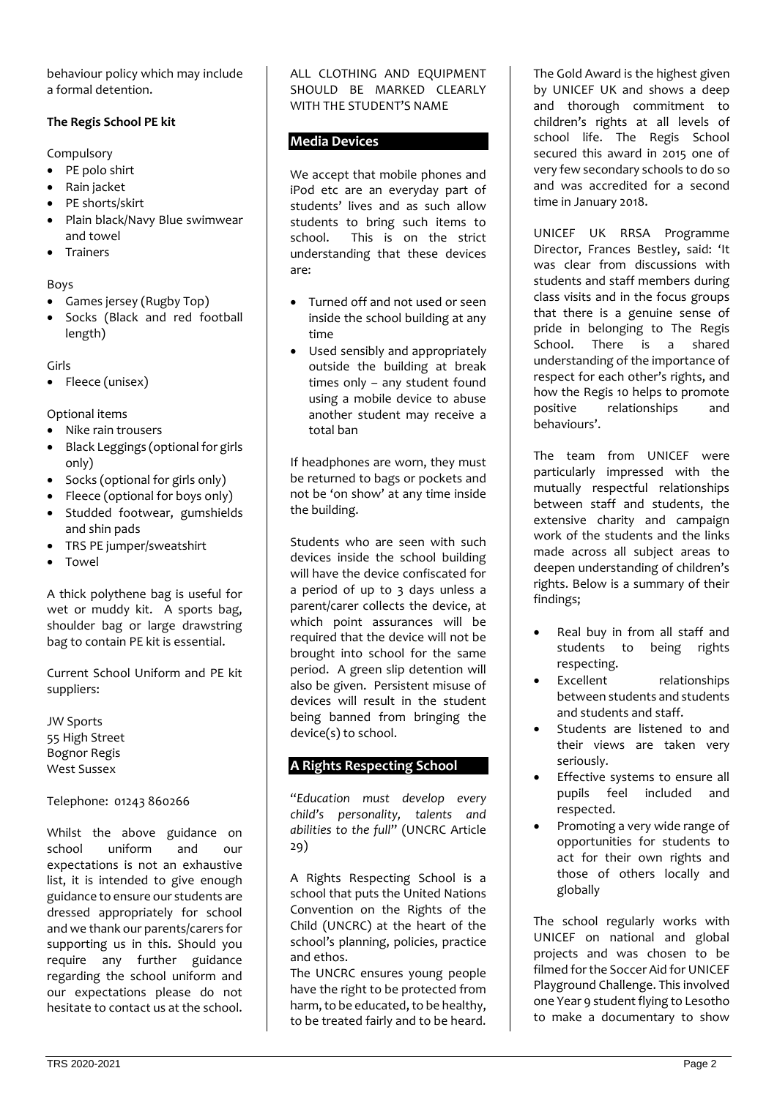behaviour policy which may include a formal detention.

### **The Regis School PE kit**

Compulsory

- PE polo shirt
- Rain jacket
- PE shorts/skirt
- Plain black/Navy Blue swimwear and towel
- **Trainers**

## Boys

- Games jersey (Rugby Top)
- Socks (Black and red football length)

Girls

• Fleece (unisex)

Optional items

- Nike rain trousers
- Black Leggings (optional for girls only)
- Socks (optional for girls only)
- Fleece (optional for boys only)
- Studded footwear, gumshields and shin pads
- TRS PE jumper/sweatshirt
- Towel

A thick polythene bag is useful for wet or muddy kit. A sports bag, shoulder bag or large drawstring bag to contain PE kit is essential.

Current School Uniform and PE kit suppliers:

JW Sports 55 High Street Bognor Regis West Sussex

Telephone: 01243 860266

Whilst the above guidance on school uniform and our expectations is not an exhaustive list, it is intended to give enough guidance to ensure our students are dressed appropriately for school and we thank our parents/carers for supporting us in this. Should you require any further guidance regarding the school uniform and our expectations please do not hesitate to contact us at the school.

ALL CLOTHING AND EQUIPMENT SHOULD BE MARKED CLEARLY WITH THE STUDENT'S NAME

# **Media Devices**

We accept that mobile phones and iPod etc are an everyday part of students' lives and as such allow students to bring such items to school. This is on the strict understanding that these devices are:

- Turned off and not used or seen inside the school building at any time
- Used sensibly and appropriately outside the building at break times only – any student found using a mobile device to abuse another student may receive a total ban

If headphones are worn, they must be returned to bags or pockets and not be 'on show' at any time inside the building.

Students who are seen with such devices inside the school building will have the device confiscated for a period of up to 3 days unless a parent/carer collects the device, at which point assurances will be required that the device will not be brought into school for the same period. A green slip detention will also be given. Persistent misuse of devices will result in the student being banned from bringing the device(s) to school.

# **A Rights Respecting School**

"*Education must develop every child's personality, talents and abilities to the full*" (UNCRC Article 29)

A Rights Respecting School is a school that puts the United Nations Convention on the Rights of the Child (UNCRC) at the heart of the school's planning, policies, practice and ethos.

The UNCRC ensures young people have the right to be protected from harm, to be educated, to be healthy, to be treated fairly and to be heard.

The Gold Award is the highest given by UNICEF UK and shows a deep and thorough commitment to children's rights at all levels of school life. The Regis School secured this award in 2015 one of very few secondary schools to do so and was accredited for a second time in January 2018.

UNICEF UK RRSA Programme Director, Frances Bestley, said: 'It was clear from discussions with students and staff members during class visits and in the focus groups that there is a genuine sense of pride in belonging to The Regis School. There is a shared understanding of the importance of respect for each other's rights, and how the Regis 10 helps to promote positive relationships and behaviours'.

The team from UNICEF were particularly impressed with the mutually respectful relationships between staff and students, the extensive charity and campaign work of the students and the links made across all subject areas to deepen understanding of children's rights. Below is a summary of their findings;

- Real buy in from all staff and students to being rights respecting.
- Excellent relationships between students and students and students and staff.
- Students are listened to and their views are taken very seriously.
- Effective systems to ensure all pupils feel included and respected.
- Promoting a very wide range of opportunities for students to act for their own rights and those of others locally and globally

The school regularly works with UNICEF on national and global projects and was chosen to be filmed for the Soccer Aid for UNICEF Playground Challenge. This involved one Year 9 student flying to Lesotho to make a documentary to show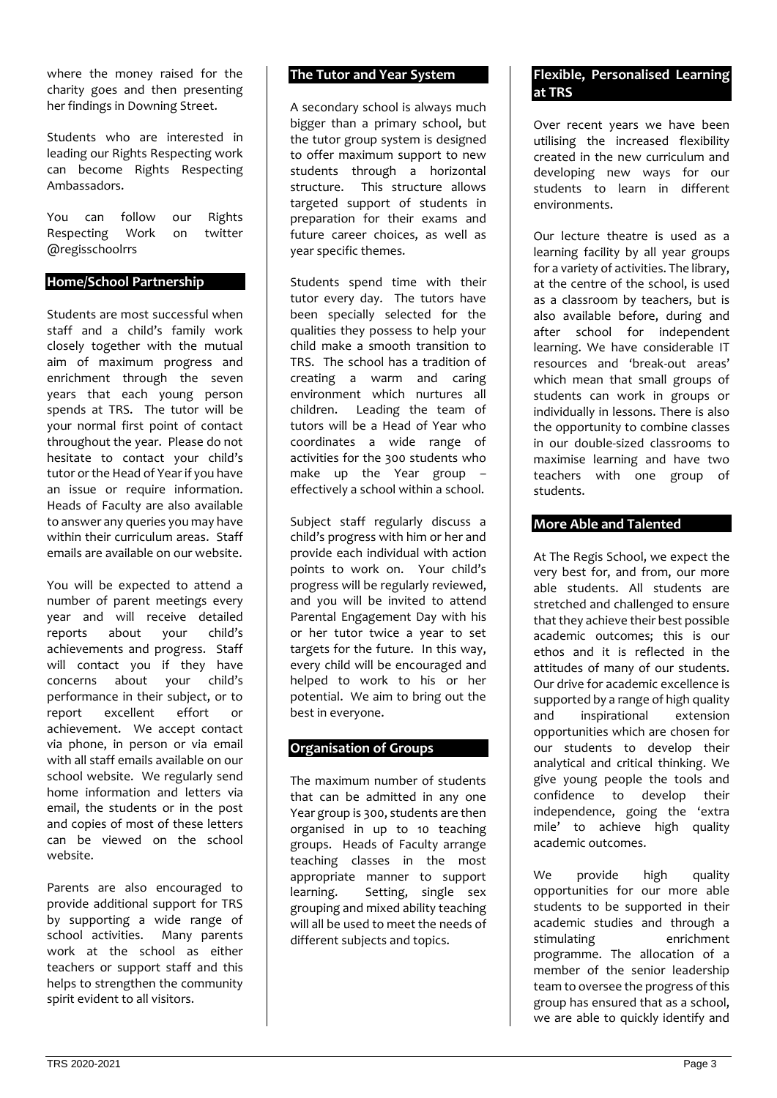where the money raised for the charity goes and then presenting her findings in Downing Street.

Students who are interested in leading our Rights Respecting work can become Rights Respecting Ambassadors.

You can follow our Rights Respecting Work on twitter @regisschoolrrs

#### **Home/School Partnership**

Students are most successful when staff and a child's family work closely together with the mutual aim of maximum progress and enrichment through the seven years that each young person spends at TRS. The tutor will be your normal first point of contact throughout the year. Please do not hesitate to contact your child's tutor or the Head of Year if you have an issue or require information. Heads of Faculty are also available to answer any queries you may have within their curriculum areas. Staff emails are available on our website.

You will be expected to attend a number of parent meetings every year and will receive detailed reports about your child's achievements and progress. Staff will contact you if they have<br>concerns about your child's concerns about performance in their subject, or to<br>report excellent effort or report excellent effort or achievement. We accept contact via phone, in person or via email with all staff emails available on our school website. We regularly send home information and letters via email, the students or in the post and copies of most of these letters can be viewed on the school website.

Parents are also encouraged to provide additional support for TRS by supporting a wide range of school activities. Many parents work at the school as either teachers or support staff and this helps to strengthen the community spirit evident to all visitors.

#### **The Tutor and Year System**

A secondary school is always much bigger than a primary school, but the tutor group system is designed to offer maximum support to new students through a horizontal structure. This structure allows targeted support of students in preparation for their exams and future career choices, as well as year specific themes.

Students spend time with their tutor every day. The tutors have been specially selected for the qualities they possess to help your child make a smooth transition to TRS. The school has a tradition of creating a warm and caring environment which nurtures all children. Leading the team of tutors will be a Head of Year who coordinates a wide range of activities for the 300 students who make up the Year group – effectively a school within a school.

Subject staff regularly discuss a child's progress with him or her and provide each individual with action points to work on. Your child's progress will be regularly reviewed, and you will be invited to attend Parental Engagement Day with his or her tutor twice a year to set targets for the future. In this way, every child will be encouraged and helped to work to his or her potential. We aim to bring out the best in everyone.

### **Organisation of Groups**

The maximum number of students that can be admitted in any one Year group is 300, students are then organised in up to 10 teaching groups. Heads of Faculty arrange teaching classes in the most appropriate manner to support learning. Setting, single sex grouping and mixed ability teaching will all be used to meet the needs of different subjects and topics.

#### **Flexible, Personalised Learning at TRS**

Over recent years we have been utilising the increased flexibility created in the new curriculum and developing new ways for our students to learn in different environments.

Our lecture theatre is used as a learning facility by all year groups for a variety of activities. The library, at the centre of the school, is used as a classroom by teachers, but is also available before, during and after school for independent learning. We have considerable IT resources and 'break-out areas' which mean that small groups of students can work in groups or individually in lessons. There is also the opportunity to combine classes in our double-sized classrooms to maximise learning and have two teachers with one group of students.

# **More Able and Talented**

At The Regis School, we expect the very best for, and from, our more able students. All students are stretched and challenged to ensure that they achieve their best possible academic outcomes; this is our ethos and it is reflected in the attitudes of many of our students. Our drive for academic excellence is supported by a range of high quality<br>and inspirational extension and inspirational opportunities which are chosen for our students to develop their analytical and critical thinking. We give young people the tools and confidence to develop their independence, going the 'extra mile' to achieve high quality academic outcomes.

We provide high quality opportunities for our more able students to be supported in their academic studies and through a stimulating enrichment programme. The allocation of a member of the senior leadership team to oversee the progress of this group has ensured that as a school, we are able to quickly identify and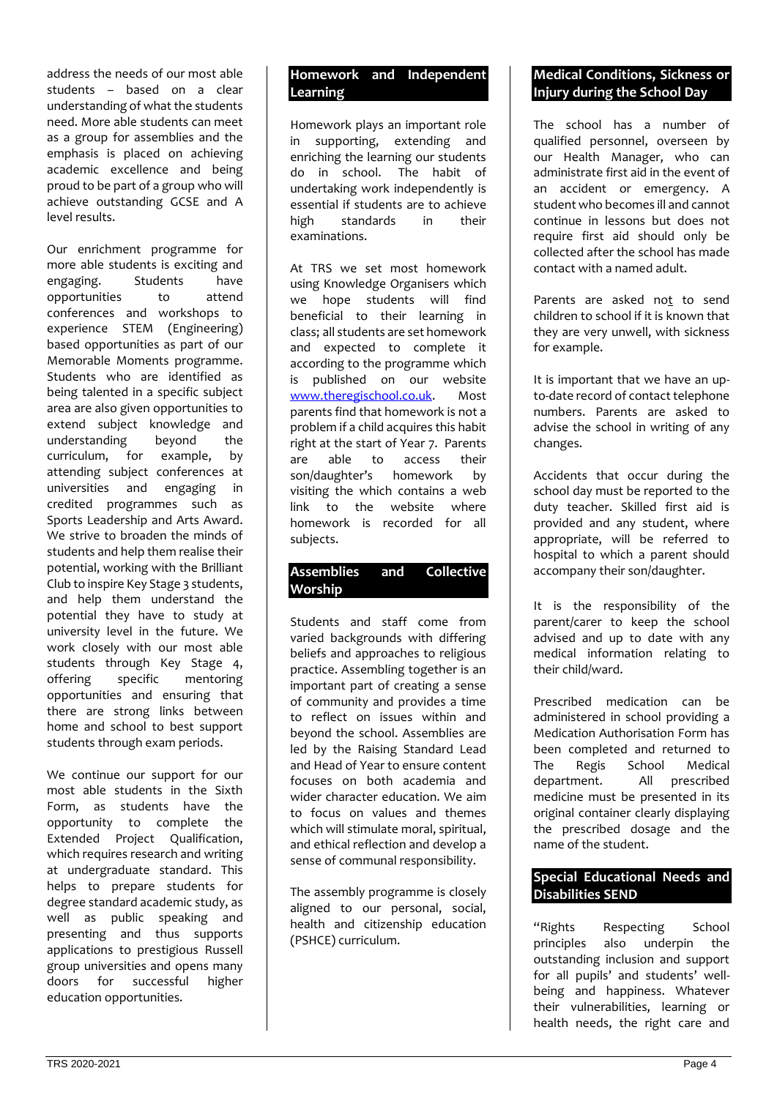address the needs of our most able students – based on a clear understanding of what the students need. More able students can meet as a group for assemblies and the emphasis is placed on achieving academic excellence and being proud to be part of a group who will achieve outstanding GCSE and A level results.

Our enrichment programme for more able students is exciting and engaging. Students have opportunities to attend conferences and workshops to experience STEM (Engineering) based opportunities as part of our Memorable Moments programme. Students who are identified as being talented in a specific subject area are also given opportunities to extend subject knowledge and understanding beyond the curriculum, for example, by attending subject conferences at universities and engaging in credited programmes such as Sports Leadership and Arts Award. We strive to broaden the minds of students and help them realise their potential, working with the Brilliant Club to inspire Key Stage 3 students, and help them understand the potential they have to study at university level in the future. We work closely with our most able students through Key Stage 4, offering specific mentoring opportunities and ensuring that there are strong links between home and school to best support students through exam periods.

We continue our support for our most able students in the Sixth Form, as students have the opportunity to complete the Extended Project Qualification, which requires research and writing at undergraduate standard. This helps to prepare students for degree standard academic study, as well as public speaking and presenting and thus supports applications to prestigious Russell group universities and opens many doors for successful higher education opportunities.

# **Homework and Independent Learning**

Homework plays an important role in supporting, extending and enriching the learning our students do in school. The habit of undertaking work independently is essential if students are to achieve high standards in their examinations.

At TRS we set most homework using Knowledge Organisers which we hope students will find beneficial to their learning in class; all students are set homework and expected to complete it according to the programme which is published on our website [www.theregischool.co.uk.](http://www.theregischool.co.uk/) Most parents find that homework is not a problem if a child acquires this habit right at the start of Year 7. Parents are able to access their son/daughter's homework by visiting the which contains a web link to the website where homework is recorded for all subjects.

# **Assemblies and Collective Worship**

Students and staff come from varied backgrounds with differing beliefs and approaches to religious practice. Assembling together is an important part of creating a sense of community and provides a time to reflect on issues within and beyond the school. Assemblies are led by the Raising Standard Lead and Head of Year to ensure content focuses on both academia and wider character education. We aim to focus on values and themes which will stimulate moral, spiritual, and ethical reflection and develop a sense of communal responsibility.

The assembly programme is closely aligned to our personal, social, health and citizenship education (PSHCE) curriculum.

# **Medical Conditions, Sickness or Injury during the School Day**

The school has a number of qualified personnel, overseen by our Health Manager, who can administrate first aid in the event of an accident or emergency. A student who becomes ill and cannot continue in lessons but does not require first aid should only be collected after the school has made contact with a named adult.

Parents are asked not to send children to school if it is known that they are very unwell, with sickness for example.

It is important that we have an upto-date record of contact telephone numbers. Parents are asked to advise the school in writing of any changes.

Accidents that occur during the school day must be reported to the duty teacher. Skilled first aid is provided and any student, where appropriate, will be referred to hospital to which a parent should accompany their son/daughter.

It is the responsibility of the parent/carer to keep the school advised and up to date with any medical information relating to their child/ward.

Prescribed medication can be administered in school providing a Medication Authorisation Form has been completed and returned to The Regis School Medical department. All prescribed medicine must be presented in its original container clearly displaying the prescribed dosage and the name of the student.

# **Special Educational Needs and Disabilities SEND**

"Rights Respecting School principles also underpin the outstanding inclusion and support for all pupils' and students' wellbeing and happiness. Whatever their vulnerabilities, learning or health needs, the right care and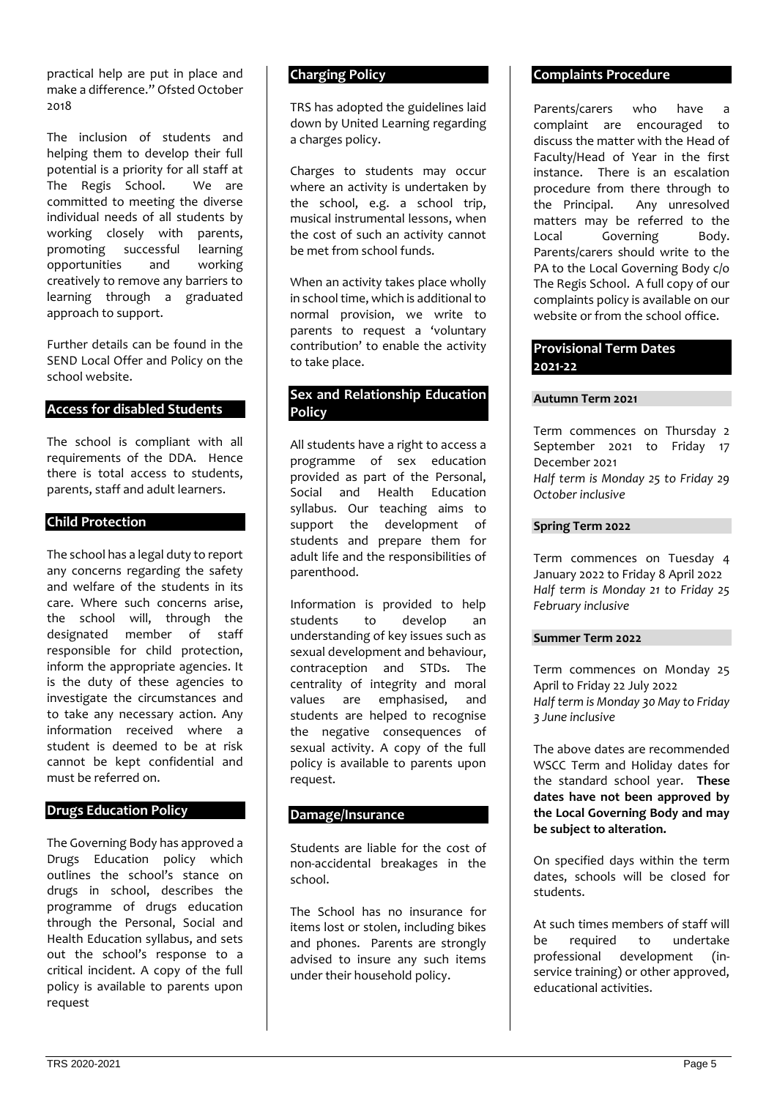practical help are put in place and make a difference." Ofsted October 2018

The inclusion of students and helping them to develop their full potential is a priority for all staff at The Regis School. We are committed to meeting the diverse individual needs of all students by working closely with parents, promoting successful learning<br>opportunities and working opportunities creatively to remove any barriers to learning through a graduated approach to support.

Further details can be found in the SEND Local Offer and Policy on the school website.

## **Access for disabled Students**

The school is compliant with all requirements of the DDA. Hence there is total access to students, parents, staff and adult learners.

#### **Child Protection**

The school has a legal duty to report any concerns regarding the safety and welfare of the students in its care. Where such concerns arise, the school will, through the designated member of staff responsible for child protection, inform the appropriate agencies. It is the duty of these agencies to investigate the circumstances and to take any necessary action. Any information received where a student is deemed to be at risk cannot be kept confidential and must be referred on.

#### **Drugs Education Policy**

The Governing Body has approved a Drugs Education policy which outlines the school's stance on drugs in school, describes the programme of drugs education through the Personal, Social and Health Education syllabus, and sets out the school's response to a critical incident. A copy of the full policy is available to parents upon request

#### **Charging Policy**

TRS has adopted the guidelines laid down by United Learning regarding a charges policy.

Charges to students may occur where an activity is undertaken by the school, e.g. a school trip, musical instrumental lessons, when the cost of such an activity cannot be met from school funds.

When an activity takes place wholly in school time, which is additional to normal provision, we write to parents to request a 'voluntary contribution' to enable the activity to take place.

## **Sex and Relationship Education Policy**

All students have a right to access a programme of sex education provided as part of the Personal, Social and Health Education syllabus. Our teaching aims to support the development of students and prepare them for adult life and the responsibilities of parenthood.

Information is provided to help<br>students to develop an to develop an understanding of key issues such as sexual development and behaviour, contraception and STDs. The centrality of integrity and moral values are emphasised, and students are helped to recognise the negative consequences of sexual activity. A copy of the full policy is available to parents upon request.

## **Damage/Insurance**

Students are liable for the cost of non-accidental breakages in the school.

The School has no insurance for items lost or stolen, including bikes and phones. Parents are strongly advised to insure any such items under their household policy.

#### **Complaints Procedure**

Parents/carers who have a complaint are encouraged to discuss the matter with the Head of Faculty/Head of Year in the first instance. There is an escalation procedure from there through to the Principal. Any unresolved matters may be referred to the Local Governing Body. Parents/carers should write to the PA to the Local Governing Body c/o The Regis School. A full copy of our complaints policy is available on our website or from the school office.

#### **Provisional Term Dates 2021-22**

#### **Autumn Term 2021**

Term commences on Thursday 2 September 2021 to Friday 17 December 2021 *Half term is Monday 25 to Friday 29 October inclusive*

#### **Spring Term 2022**

Term commences on Tuesday 4 January 2022 to Friday 8 April 2022 *Half term is Monday 21 to Friday 25 February inclusive* 

#### **Summer Term 2022**

Term commences on Monday 25 April to Friday 22 July 2022 *Half term is Monday 30 May to Friday 3 June inclusive* 

The above dates are recommended WSCC Term and Holiday dates for the standard school year. **These dates have not been approved by the Local Governing Body and may be subject to alteration.**

On specified days within the term dates, schools will be closed for students.

At such times members of staff will be required to undertake professional development (inservice training) or other approved, educational activities.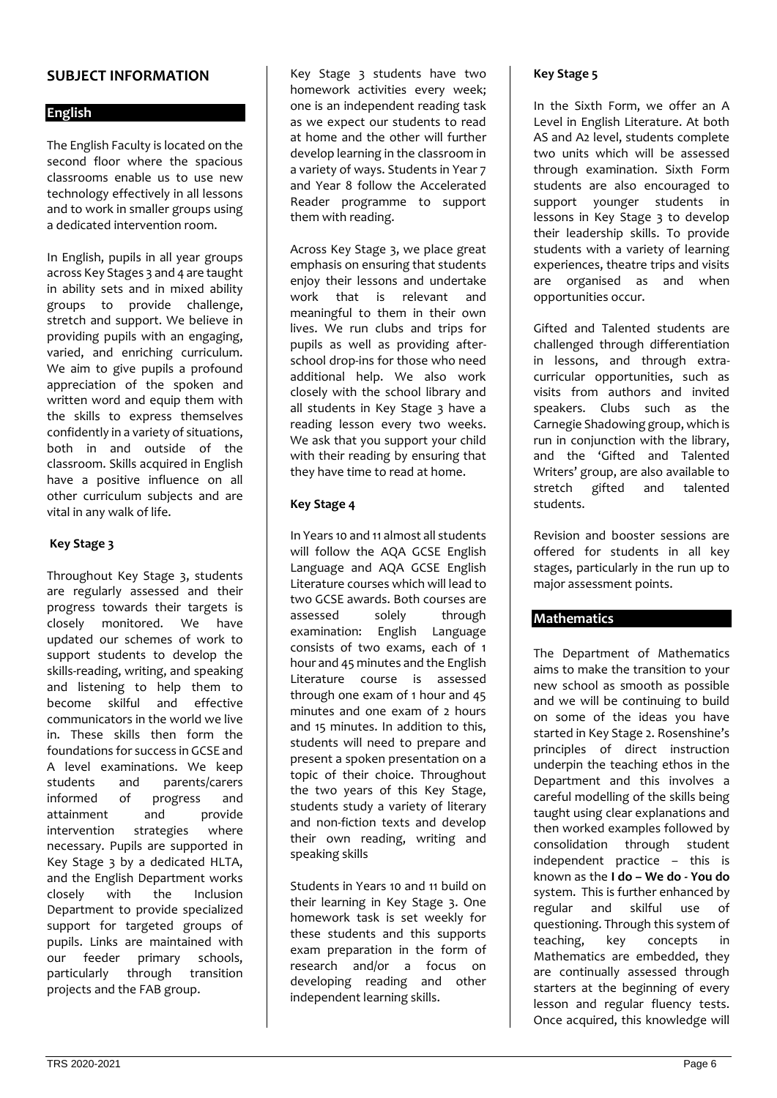# **SUBJECT INFORMATION**

## **English**

The English Faculty is located on the second floor where the spacious classrooms enable us to use new technology effectively in all lessons and to work in smaller groups using a dedicated intervention room.

In English, pupils in all year groups across Key Stages 3 and 4 are taught in ability sets and in mixed ability groups to provide challenge, stretch and support. We believe in providing pupils with an engaging, varied, and enriching curriculum. We aim to give pupils a profound appreciation of the spoken and written word and equip them with the skills to express themselves confidently in a variety of situations, both in and outside of the classroom. Skills acquired in English have a positive influence on all other curriculum subjects and are vital in any walk of life.

### **Key Stage 3**

Throughout Key Stage 3, students are regularly assessed and their progress towards their targets is closely monitored. We have updated our schemes of work to support students to develop the skills-reading, writing, and speaking and listening to help them to become skilful and effective communicators in the world we live in. These skills then form the foundations for success in GCSE and A level examinations. We keep students and parents/carers informed of progress and attainment and provide intervention strategies where necessary. Pupils are supported in Key Stage 3 by a dedicated HLTA, and the English Department works closely with the Inclusion Department to provide specialized support for targeted groups of pupils. Links are maintained with our feeder primary schools, particularly through transition projects and the FAB group.

Key Stage 3 students have two homework activities every week; one is an independent reading task as we expect our students to read at home and the other will further develop learning in the classroom in a variety of ways. Students in Year 7 and Year 8 follow the Accelerated Reader programme to support them with reading.

Across Key Stage 3, we place great emphasis on ensuring that students enjoy their lessons and undertake work that is relevant and meaningful to them in their own lives. We run clubs and trips for pupils as well as providing afterschool drop-ins for those who need additional help. We also work closely with the school library and all students in Key Stage 3 have a reading lesson every two weeks. We ask that you support your child with their reading by ensuring that they have time to read at home.

#### **Key Stage 4**

In Years 10 and 11 almost all students will follow the AQA GCSE English Language and AQA GCSE English Literature courses which will lead to two GCSE awards. Both courses are assessed solely through examination: English Language consists of two exams, each of 1 hour and 45 minutes and the English Literature course is assessed through one exam of 1 hour and 45 minutes and one exam of 2 hours and 15 minutes. In addition to this, students will need to prepare and present a spoken presentation on a topic of their choice. Throughout the two years of this Key Stage, students study a variety of literary and non-fiction texts and develop their own reading, writing and speaking skills

Students in Years 10 and 11 build on their learning in Key Stage 3. One homework task is set weekly for these students and this supports exam preparation in the form of research and/or a focus on developing reading and other independent learning skills.

#### **Key Stage 5**

In the Sixth Form, we offer an A Level in English Literature. At both AS and A2 level, students complete two units which will be assessed through examination. Sixth Form students are also encouraged to support younger students in lessons in Key Stage 3 to develop their leadership skills. To provide students with a variety of learning experiences, theatre trips and visits are organised as and when opportunities occur.

Gifted and Talented students are challenged through differentiation in lessons, and through extracurricular opportunities, such as visits from authors and invited speakers. Clubs such as the Carnegie Shadowing group, which is run in conjunction with the library, and the 'Gifted and Talented Writers' group, are also available to stretch gifted and talented students.

Revision and booster sessions are offered for students in all key stages, particularly in the run up to major assessment points.

#### **Mathematics**

The Department of Mathematics aims to make the transition to your new school as smooth as possible and we will be continuing to build on some of the ideas you have started in Key Stage 2. Rosenshine's principles of direct instruction underpin the teaching ethos in the Department and this involves a careful modelling of the skills being taught using clear explanations and then worked examples followed by consolidation through student independent practice – this is known as the **I do – We do - You do** system. This is further enhanced by regular and skilful use of questioning. Through this system of teaching, key concepts in Mathematics are embedded, they are continually assessed through starters at the beginning of every lesson and regular fluency tests. Once acquired, this knowledge will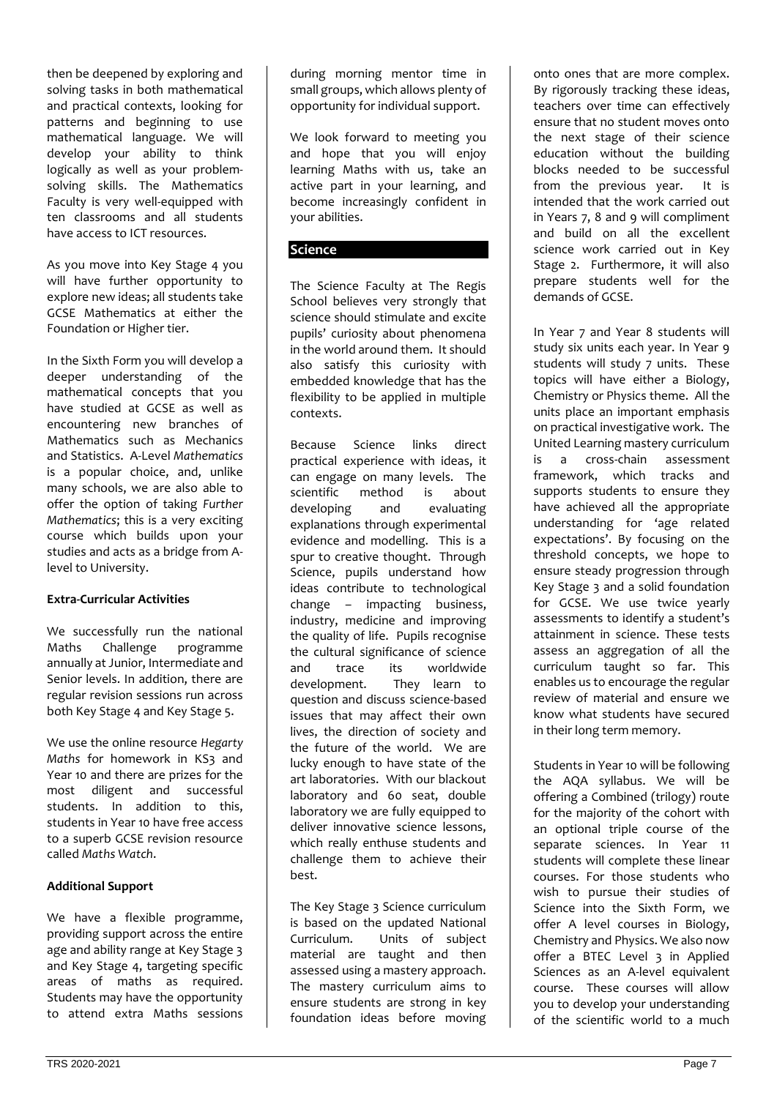then be deepened by exploring and solving tasks in both mathematical and practical contexts, looking for patterns and beginning to use mathematical language. We will develop your ability to think logically as well as your problemsolving skills. The Mathematics Faculty is very well-equipped with ten classrooms and all students have access to ICT resources.

As you move into Key Stage 4 you will have further opportunity to explore new ideas; all students take GCSE Mathematics at either the Foundation or Higher tier.

In the Sixth Form you will develop a deeper understanding of the mathematical concepts that you have studied at GCSE as well as encountering new branches of Mathematics such as Mechanics and Statistics. A-Level *Mathematics* is a popular choice, and, unlike many schools, we are also able to offer the option of taking *Further Mathematics*; this is a very exciting course which builds upon your studies and acts as a bridge from Alevel to University.

#### **Extra-Curricular Activities**

We successfully run the national Maths Challenge programme annually at Junior, Intermediate and Senior levels. In addition, there are regular revision sessions run across both Key Stage 4 and Key Stage 5.

We use the online resource *Hegarty Maths* for homework in KS3 and Year 10 and there are prizes for the most diligent and successful students. In addition to this, students in Year 10 have free access to a superb GCSE revision resource called *Maths Watch*.

#### **Additional Support**

We have a flexible programme, providing support across the entire age and ability range at Key Stage 3 and Key Stage 4, targeting specific areas of maths as required. Students may have the opportunity to attend extra Maths sessions

during morning mentor time in small groups, which allows plenty of opportunity for individual support.

We look forward to meeting you and hope that you will enjoy learning Maths with us, take an active part in your learning, and become increasingly confident in your abilities.

# **Science**

The Science Faculty at The Regis School believes very strongly that science should stimulate and excite pupils' curiosity about phenomena in the world around them. It should also satisfy this curiosity with embedded knowledge that has the flexibility to be applied in multiple contexts.

Because Science links direct practical experience with ideas, it can engage on many levels. The scientific method is about developing and evaluating explanations through experimental evidence and modelling. This is a spur to creative thought. Through Science, pupils understand how ideas contribute to technological change – impacting business, industry, medicine and improving the quality of life. Pupils recognise the cultural significance of science and trace its worldwide development. They learn to question and discuss science-based issues that may affect their own lives, the direction of society and the future of the world. We are lucky enough to have state of the art laboratories. With our blackout laboratory and 60 seat, double laboratory we are fully equipped to deliver innovative science lessons, which really enthuse students and challenge them to achieve their best.

The Key Stage 3 Science curriculum is based on the updated National Curriculum. Units of subject material are taught and then assessed using a mastery approach. The mastery curriculum aims to ensure students are strong in key foundation ideas before moving onto ones that are more complex. By rigorously tracking these ideas, teachers over time can effectively ensure that no student moves onto the next stage of their science education without the building blocks needed to be successful from the previous year. It is intended that the work carried out in Years 7, 8 and 9 will compliment and build on all the excellent science work carried out in Key Stage 2. Furthermore, it will also prepare students well for the demands of GCSE.

In Year 7 and Year 8 students will study six units each year. In Year 9 students will study 7 units. These topics will have either a Biology, Chemistry or Physics theme. All the units place an important emphasis on practical investigative work. The United Learning mastery curriculum is a cross-chain assessment framework, which tracks and supports students to ensure they have achieved all the appropriate understanding for 'age related expectations'. By focusing on the threshold concepts, we hope to ensure steady progression through Key Stage 3 and a solid foundation for GCSE. We use twice yearly assessments to identify a student's attainment in science. These tests assess an aggregation of all the curriculum taught so far. This enables us to encourage the regular review of material and ensure we know what students have secured in their long term memory.

Students in Year 10 will be following the AQA syllabus. We will be offering a Combined (trilogy) route for the majority of the cohort with an optional triple course of the separate sciences. In Year 11 students will complete these linear courses. For those students who wish to pursue their studies of Science into the Sixth Form, we offer A level courses in Biology, Chemistry and Physics. We also now offer a BTEC Level 3 in Applied Sciences as an A-level equivalent course. These courses will allow you to develop your understanding of the scientific world to a much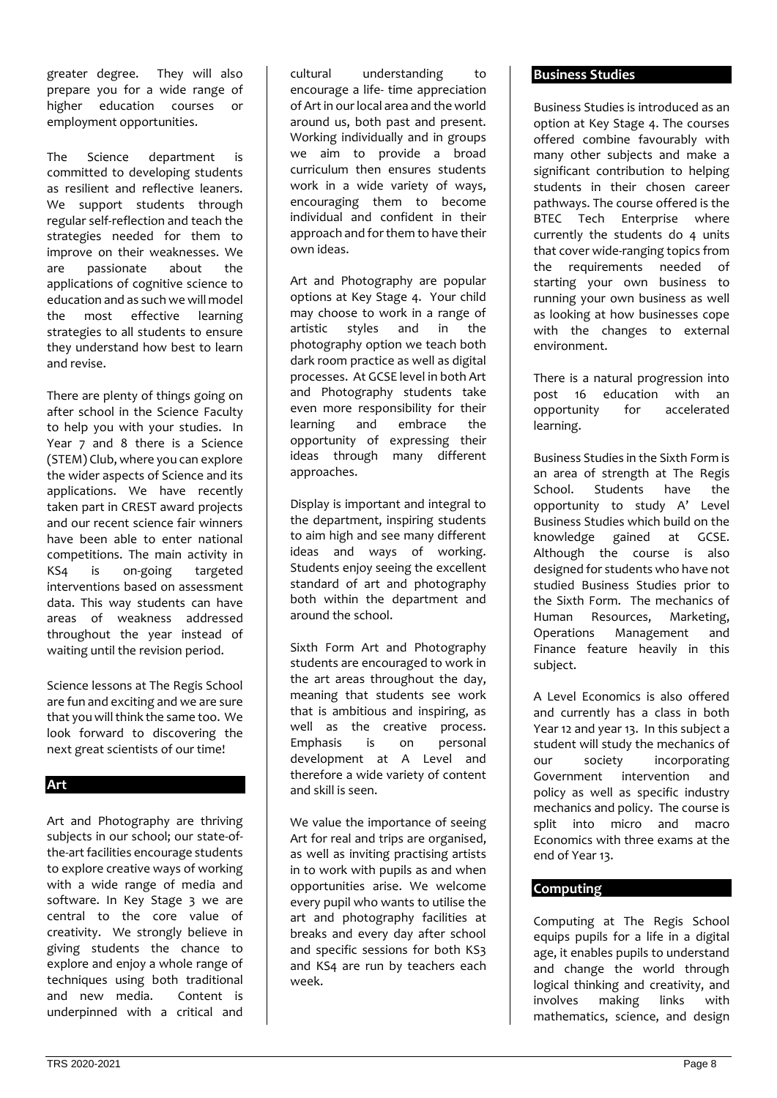greater degree. They will also prepare you for a wide range of higher education courses or employment opportunities.

The Science department is committed to developing students as resilient and reflective leaners. We support students through regular self-reflection and teach the strategies needed for them to improve on their weaknesses. We are passionate about the applications of cognitive science to education and as such we will model the most effective learning strategies to all students to ensure they understand how best to learn and revise.

There are plenty of things going on after school in the Science Faculty to help you with your studies. In Year 7 and 8 there is a Science (STEM) Club, where you can explore the wider aspects of Science and its applications. We have recently taken part in CREST award projects and our recent science fair winners have been able to enter national competitions. The main activity in KS4 is on-going targeted interventions based on assessment data. This way students can have areas of weakness addressed throughout the year instead of waiting until the revision period.

Science lessons at The Regis School are fun and exciting and we are sure that you will think the same too. We look forward to discovering the next great scientists of our time!

#### **Art**

Art and Photography are thriving subjects in our school; our state-ofthe-art facilities encourage students to explore creative ways of working with a wide range of media and software. In Key Stage 3 we are central to the core value of creativity. We strongly believe in giving students the chance to explore and enjoy a whole range of techniques using both traditional and new media. Content is underpinned with a critical and

cultural understanding to encourage a life- time appreciation of Art in our local area and the world around us, both past and present. Working individually and in groups we aim to provide a broad curriculum then ensures students work in a wide variety of ways, encouraging them to become individual and confident in their approach and for them to have their own ideas.

Art and Photography are popular options at Key Stage 4. Your child may choose to work in a range of artistic styles and in the photography option we teach both dark room practice as well as digital processes. At GCSE level in both Art and Photography students take even more responsibility for their learning and embrace the opportunity of expressing their ideas through many different approaches.

Display is important and integral to the department, inspiring students to aim high and see many different ideas and ways of working. Students enjoy seeing the excellent standard of art and photography both within the department and around the school.

Sixth Form Art and Photography students are encouraged to work in the art areas throughout the day, meaning that students see work that is ambitious and inspiring, as well as the creative process. Emphasis is on personal development at A Level and therefore a wide variety of content and skill is seen.

We value the importance of seeing Art for real and trips are organised, as well as inviting practising artists in to work with pupils as and when opportunities arise. We welcome every pupil who wants to utilise the art and photography facilities at breaks and every day after school and specific sessions for both KS3 and KS4 are run by teachers each week.

#### **Business Studies**

Business Studies is introduced as an option at Key Stage 4. The courses offered combine favourably with many other subjects and make a significant contribution to helping students in their chosen career pathways. The course offered is the BTEC Tech Enterprise where currently the students do 4 units that cover wide-ranging topics from the requirements needed of starting your own business to running your own business as well as looking at how businesses cope with the changes to external environment.

There is a natural progression into post 16 education with an opportunity for accelerated learning.

Business Studies in the Sixth Form is an area of strength at The Regis School. Students have the opportunity to study A' Level Business Studies which build on the knowledge gained at GCSE. Although the course is also designed for students who have not studied Business Studies prior to the Sixth Form. The mechanics of<br>Human Resources, Marketing, Human Resources, Operations Management and Finance feature heavily in this subject.

A Level Economics is also offered and currently has a class in both Year 12 and year 13. In this subject a student will study the mechanics of our society incorporating Government intervention and policy as well as specific industry mechanics and policy. The course is split into micro and macro Economics with three exams at the end of Year 13.

# **Computing**

Computing at The Regis School equips pupils for a life in a digital age, it enables pupils to understand and change the world through logical thinking and creativity, and<br>involves making links with involves making links mathematics, science, and design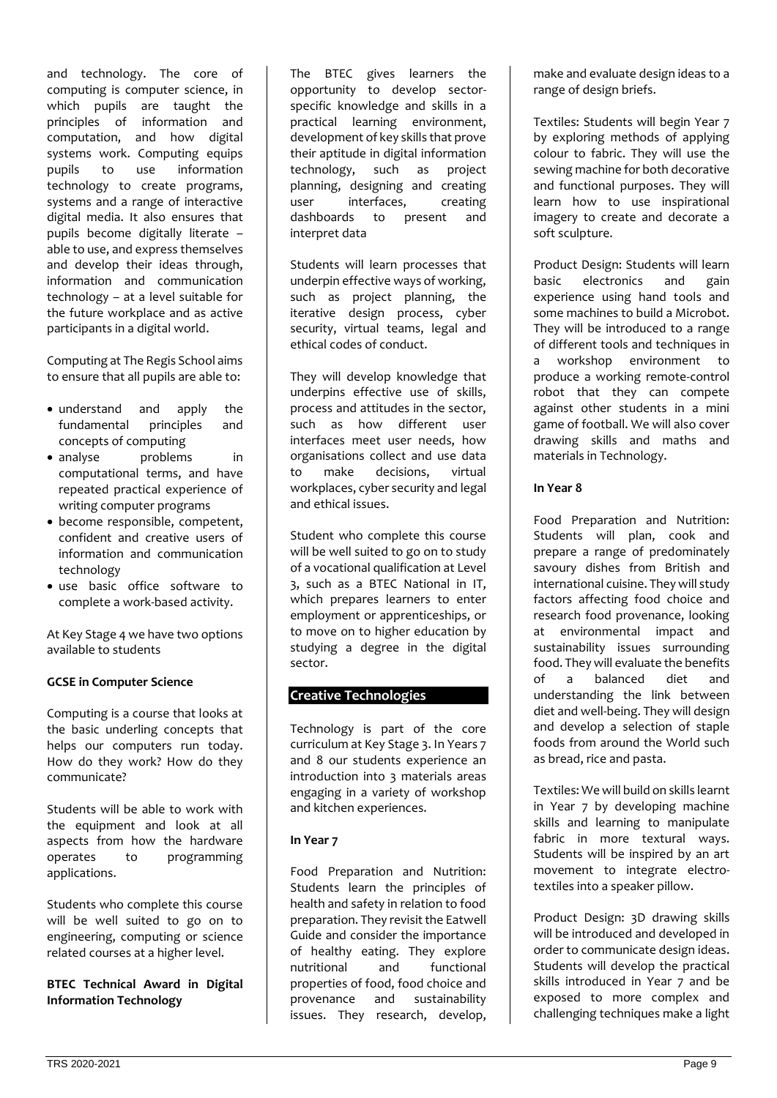and technology. The core of computing is computer science, in which pupils are taught the principles of information and computation, and how digital systems work. Computing equips pupils to use information technology to create programs, systems and a range of interactive digital media. It also ensures that pupils become digitally literate – able to use, and express themselves and develop their ideas through, information and communication technology – at a level suitable for the future workplace and as active participants in a digital world.

Computing at The Regis School aims to ensure that all pupils are able to:

- understand and apply the fundamental principles and concepts of computing
- analyse problems in computational terms, and have repeated practical experience of writing computer programs
- become responsible, competent, confident and creative users of information and communication technology
- use basic office software to complete a work-based activity.

At Key Stage 4 we have two options available to students

#### **GCSE in Computer Science**

Computing is a course that looks at the basic underling concepts that helps our computers run today. How do they work? How do they communicate?

Students will be able to work with the equipment and look at all aspects from how the hardware operates to programming applications.

Students who complete this course will be well suited to go on to engineering, computing or science related courses at a higher level.

**BTEC Technical Award in Digital Information Technology**

The BTEC gives learners the opportunity to develop sectorspecific knowledge and skills in a practical learning environment, development of key skills that prove their aptitude in digital information<br>technology, such as project technology, such as planning, designing and creating user interfaces, creating dashboards to present and interpret data

Students will learn processes that underpin effective ways of working, such as project planning, the iterative design process, cyber security, virtual teams, legal and ethical codes of conduct.

They will develop knowledge that underpins effective use of skills, process and attitudes in the sector, such as how different user interfaces meet user needs, how organisations collect and use data to make decisions, virtual workplaces, cyber security and legal and ethical issues.

Student who complete this course will be well suited to go on to study of a vocational qualification at Level 3, such as a BTEC National in IT, which prepares learners to enter employment or apprenticeships, or to move on to higher education by studying a degree in the digital sector.

# **Creative Technologies**

Technology is part of the core curriculum at Key Stage 3. In Years 7 and 8 our students experience an introduction into 3 materials areas engaging in a variety of workshop and kitchen experiences.

# **In Year 7**

Food Preparation and Nutrition: Students learn the principles of health and safety in relation to food preparation. They revisit the Eatwell Guide and consider the importance of healthy eating. They explore nutritional and functional properties of food, food choice and provenance and sustainability issues. They research, develop, make and evaluate design ideas to a range of design briefs.

Textiles: Students will begin Year 7 by exploring methods of applying colour to fabric. They will use the sewing machine for both decorative and functional purposes. They will learn how to use inspirational imagery to create and decorate a soft sculpture.

Product Design: Students will learn basic electronics and gain experience using hand tools and some machines to build a Microbot. They will be introduced to a range of different tools and techniques in a workshop environment to produce a working remote-control robot that they can compete against other students in a mini game of football. We will also cover drawing skills and maths and materials in Technology.

## **In Year 8**

Food Preparation and Nutrition: Students will plan, cook and prepare a range of predominately savoury dishes from British and international cuisine. They will study factors affecting food choice and research food provenance, looking at environmental impact and sustainability issues surrounding food. They will evaluate the benefits<br>of a balanced diet and a balanced diet and understanding the link between diet and well-being. They will design and develop a selection of staple foods from around the World such as bread, rice and pasta.

Textiles: We will build on skills learnt in Year 7 by developing machine skills and learning to manipulate fabric in more textural ways. Students will be inspired by an art movement to integrate electrotextiles into a speaker pillow.

Product Design: 3D drawing skills will be introduced and developed in order to communicate design ideas. Students will develop the practical skills introduced in Year 7 and be exposed to more complex and challenging techniques make a light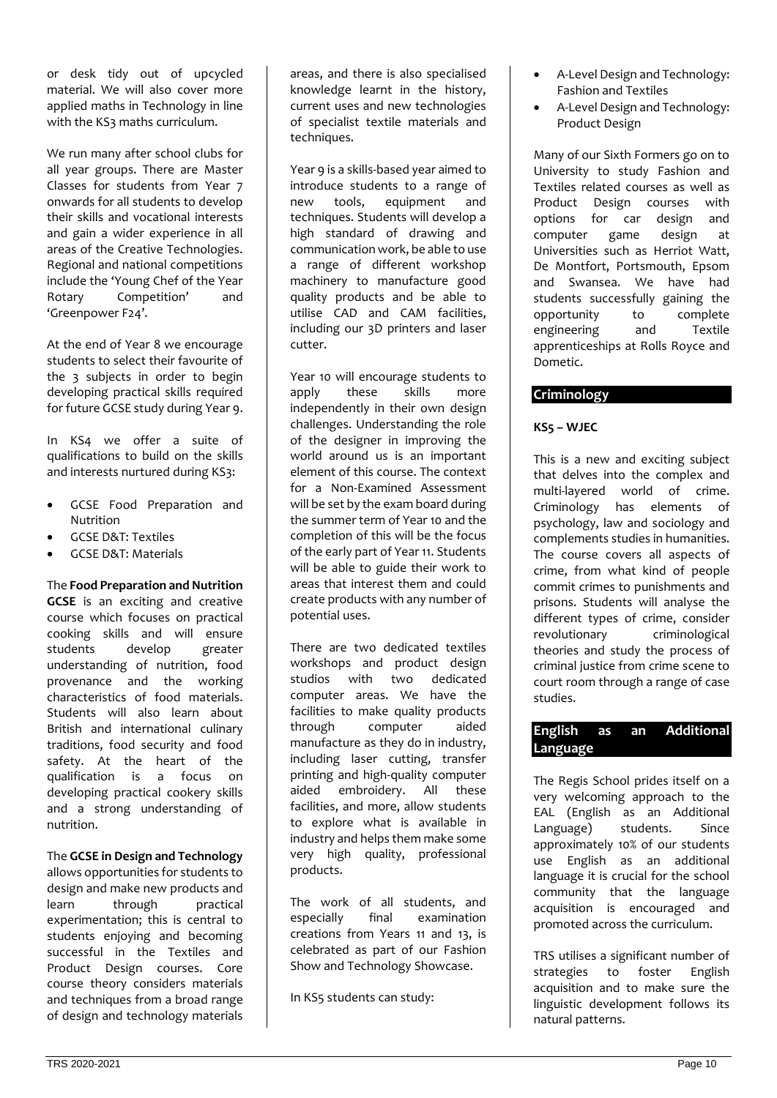or desk tidy out of upcycled material. We will also cover more applied maths in Technology in line with the KS3 maths curriculum.

We run many after school clubs for all year groups. There are Master Classes for students from Year 7 onwards for all students to develop their skills and vocational interests and gain a wider experience in all areas of the Creative Technologies. Regional and national competitions include the 'Young Chef of the Year Rotary Competition' and 'Greenpower F24'.

At the end of Year 8 we encourage students to select their favourite of the 3 subjects in order to begin developing practical skills required for future GCSE study during Year 9.

In KS4 we offer a suite of qualifications to build on the skills and interests nurtured during KS3:

- GCSE Food Preparation and Nutrition
- GCSE D&T: Textiles
- GCSE D&T: Materials

#### The **Food Preparation and Nutrition**

**GCSE** is an exciting and creative course which focuses on practical cooking skills and will ensure students develop greater understanding of nutrition, food provenance and the working characteristics of food materials. Students will also learn about British and international culinary traditions, food security and food safety. At the heart of the qualification is a focus on developing practical cookery skills and a strong understanding of nutrition.

# The **GCSE in Design and Technology**

allows opportunities for students to design and make new products and learn through practical experimentation; this is central to students enjoying and becoming successful in the Textiles and Product Design courses. Core course theory considers materials and techniques from a broad range of design and technology materials

areas, and there is also specialised knowledge learnt in the history, current uses and new technologies of specialist textile materials and techniques.

Year 9 is a skills-based year aimed to introduce students to a range of new tools, equipment and techniques. Students will develop a high standard of drawing and communication work, be able to use a range of different workshop machinery to manufacture good quality products and be able to utilise CAD and CAM facilities, including our 3D printers and laser cutter.

Year 10 will encourage students to apply these skills more independently in their own design challenges. Understanding the role of the designer in improving the world around us is an important element of this course. The context for a Non-Examined Assessment will be set by the exam board during the summer term of Year 10 and the completion of this will be the focus of the early part of Year 11. Students will be able to guide their work to areas that interest them and could create products with any number of potential uses.

There are two dedicated textiles workshops and product design studios with two dedicated computer areas. We have the facilities to make quality products through computer aided manufacture as they do in industry, including laser cutting, transfer printing and high-quality computer aided embroidery. All these facilities, and more, allow students to explore what is available in industry and helps them make some very high quality, professional products.

The work of all students, and especially final examination creations from Years 11 and 13, is celebrated as part of our Fashion Show and Technology Showcase.

In KS5 students can study:

- A-Level Design and Technology: Fashion and Textiles
- A-Level Design and Technology: Product Design

Many of our Sixth Formers go on to University to study Fashion and Textiles related courses as well as Product Design courses with options for car design and computer game design at Universities such as Herriot Watt, De Montfort, Portsmouth, Epsom and Swansea. We have had students successfully gaining the opportunity to complete engineering and Textile apprenticeships at Rolls Royce and Dometic.

# **Criminology**

# **KS5 – WJEC**

This is a new and exciting subject that delves into the complex and multi-layered world of crime. Criminology has elements of psychology, law and sociology and complements studies in humanities. The course covers all aspects of crime, from what kind of people commit crimes to punishments and prisons. Students will analyse the different types of crime, consider revolutionary criminological theories and study the process of criminal justice from crime scene to court room through a range of case studies.

## **English as an Additional Language**

The Regis School prides itself on a very welcoming approach to the EAL (English as an Additional Language) students. Since approximately 10% of our students use English as an additional language it is crucial for the school community that the language acquisition is encouraged and promoted across the curriculum.

TRS utilises a significant number of strategies to foster English acquisition and to make sure the linguistic development follows its natural patterns.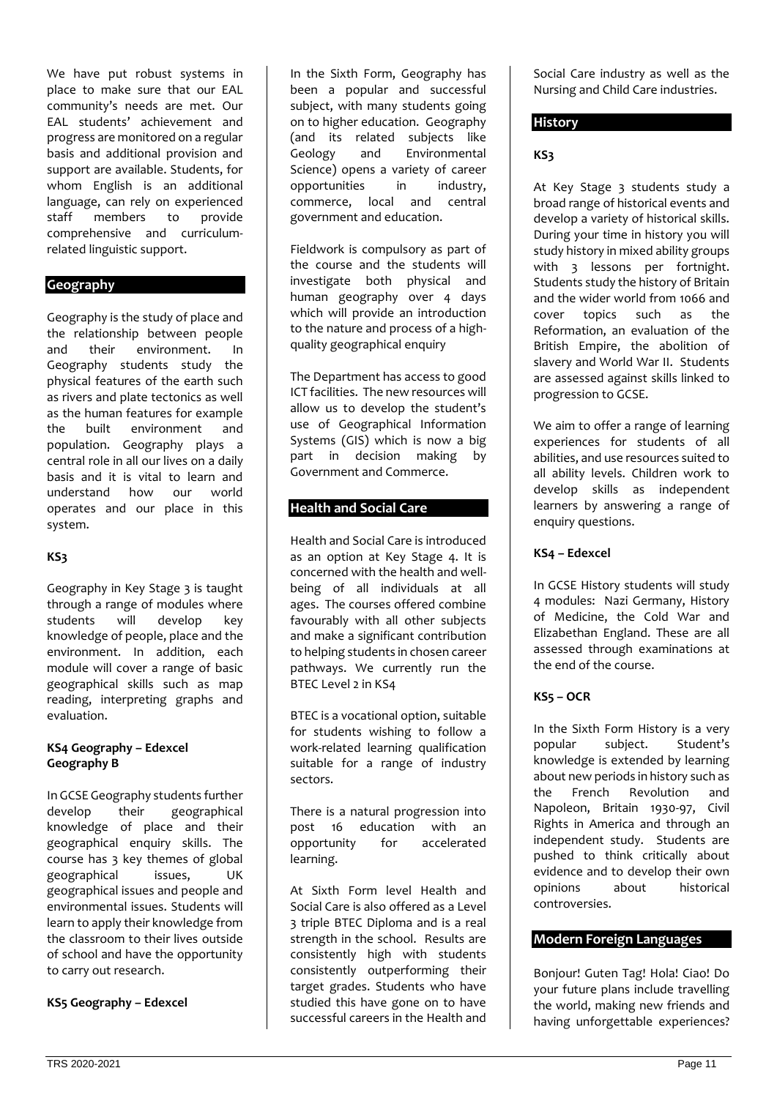We have put robust systems in place to make sure that our EAL community's needs are met. Our EAL students' achievement and progress are monitored on a regular basis and additional provision and support are available. Students, for whom English is an additional language, can rely on experienced<br>staff members to provide members to provide comprehensive and curriculumrelated linguistic support.

#### **Geography**

Geography is the study of place and the relationship between people and their environment. In Geography students study the physical features of the earth such as rivers and plate tectonics as well as the human features for example the built environment and population. Geography plays a central role in all our lives on a daily basis and it is vital to learn and understand how our world operates and our place in this system.

#### **KS3**

Geography in Key Stage 3 is taught through a range of modules where<br>students will develop key develop key knowledge of people, place and the environment. In addition, each module will cover a range of basic geographical skills such as map reading, interpreting graphs and evaluation.

#### **KS4 Geography – Edexcel Geography B**

In GCSE Geography students further develop their geographical knowledge of place and their geographical enquiry skills. The course has 3 key themes of global geographical issues, UK geographical issues and people and environmental issues. Students will learn to apply their knowledge from the classroom to their lives outside of school and have the opportunity to carry out research.

**KS5 Geography – Edexcel** 

In the Sixth Form, Geography has been a popular and successful subject, with many students going on to higher education. Geography (and its related subjects like Geology and Environmental Science) opens a variety of career opportunities in industry, commerce, local and central government and education.

Fieldwork is compulsory as part of the course and the students will investigate both physical and human geography over 4 days which will provide an introduction to the nature and process of a highquality geographical enquiry

The Department has access to good ICT facilities. The new resources will allow us to develop the student's use of Geographical Information Systems (GIS) which is now a big part in decision making by Government and Commerce.

## **Health and Social Care**

Health and Social Care is introduced as an option at Key Stage 4. It is concerned with the health and wellbeing of all individuals at all ages. The courses offered combine favourably with all other subjects and make a significant contribution to helping students in chosen career pathways. We currently run the BTEC Level 2 in KS4

BTEC is a vocational option, suitable for students wishing to follow a work-related learning qualification suitable for a range of industry sectors.

There is a natural progression into post 16 education with an opportunity for accelerated learning.

At Sixth Form level Health and Social Care is also offered as a Level 3 triple BTEC Diploma and is a real strength in the school. Results are consistently high with students consistently outperforming their target grades. Students who have studied this have gone on to have successful careers in the Health and

Social Care industry as well as the Nursing and Child Care industries.

## **History**

#### **KS3**

At Key Stage 3 students study a broad range of historical events and develop a variety of historical skills. During your time in history you will study history in mixed ability groups with 3 lessons per fortnight. Students study the history of Britain and the wider world from 1066 and cover topics such as the Reformation, an evaluation of the British Empire, the abolition of slavery and World War II. Students are assessed against skills linked to progression to GCSE.

We aim to offer a range of learning experiences for students of all abilities, and use resources suited to all ability levels. Children work to develop skills as independent learners by answering a range of enquiry questions.

#### **KS4 – Edexcel**

In GCSE History students will study 4 modules: Nazi Germany, History of Medicine, the Cold War and Elizabethan England. These are all assessed through examinations at the end of the course.

#### **KS5 – OCR**

In the Sixth Form History is a very<br>popular subject. Student's subject. Student's knowledge is extended by learning about new periods in history such as<br>the French Revolution and the French Revolution and Napoleon, Britain 1930-97, Civil Rights in America and through an independent study. Students are pushed to think critically about evidence and to develop their own opinions about historical controversies.

## **Modern Foreign Languages**

Bonjour! Guten Tag! Hola! Ciao! Do your future plans include travelling the world, making new friends and having unforgettable experiences?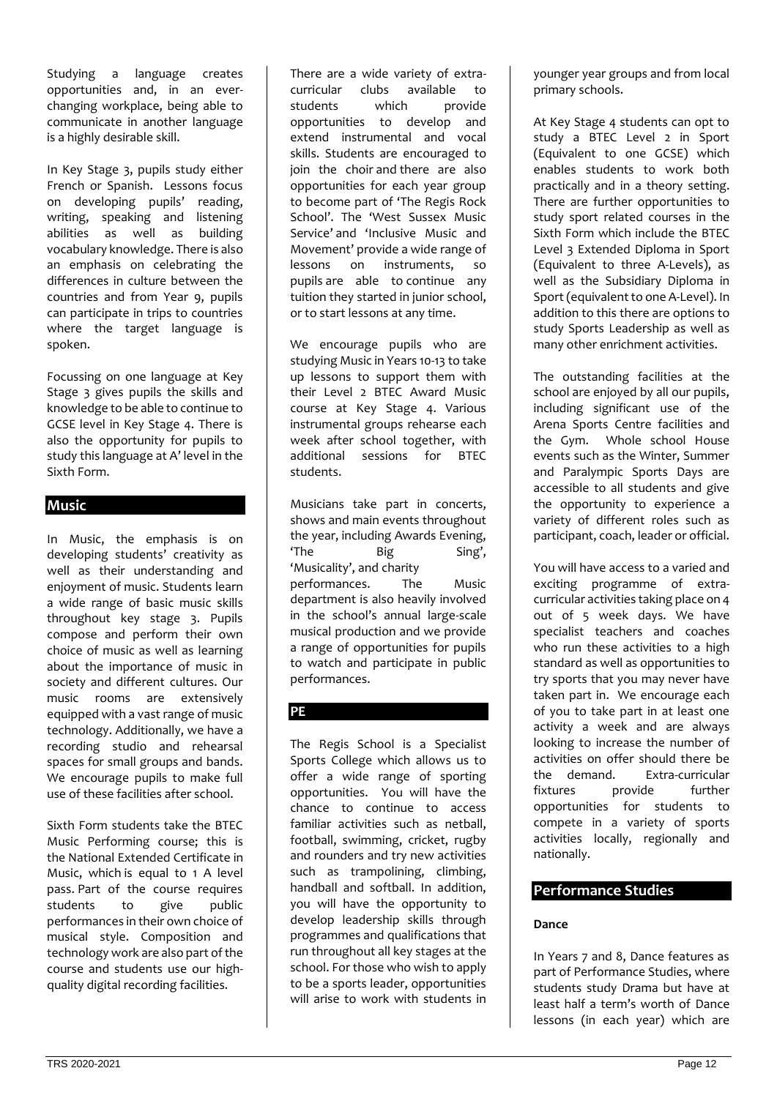Studying a language creates opportunities and, in an everchanging workplace, being able to communicate in another language is a highly desirable skill.

In Key Stage 3, pupils study either French or Spanish. Lessons focus on developing pupils' reading, writing, speaking and listening abilities as well as building vocabulary knowledge. There is also an emphasis on celebrating the differences in culture between the countries and from Year 9, pupils can participate in trips to countries where the target language is spoken.

Focussing on one language at Key Stage 3 gives pupils the skills and knowledge to be able to continue to GCSE level in Key Stage 4. There is also the opportunity for pupils to study this language at A' level in the Sixth Form.

# **Music**

In Music, the emphasis is on developing students' creativity as well as their understanding and enjoyment of music. Students learn a wide range of basic music skills throughout key stage 3. Pupils compose and perform their own choice of music as well as learning about the importance of music in society and different cultures. Our music rooms are extensively equipped with a vast range of music technology. Additionally, we have a recording studio and rehearsal spaces for small groups and bands. We encourage pupils to make full use of these facilities after school.

Sixth Form students take the BTEC Music Performing course; this is the National Extended Certificate in Music, which is equal to 1 A level pass. Part of the course requires students to give public performances in their own choice of musical style. Composition and technology work are also part of the course and students use our highquality digital recording facilities.

There are a wide variety of extracurricular clubs available to students which provide opportunities to develop and extend instrumental and vocal skills. Students are encouraged to join the choir and there are also opportunities for each year group to become part of 'The Regis Rock School'. The 'West Sussex Music Service' and 'Inclusive Music and Movement' provide a wide range of<br>lessons on instruments. so instruments, so pupils are able to continue any tuition they started in junior school, or to start lessons at any time.

We encourage pupils who are studying Music in Years 10-13 to take up lessons to support them with their Level 2 BTEC Award Music course at Key Stage 4. Various instrumental groups rehearse each week after school together, with additional sessions for BTEC students.

Musicians take part in concerts, shows and main events throughout the year, including Awards Evening, 'The Big Sing', 'Musicality', and charity performances. The Music department is also heavily involved in the school's annual large-scale musical production and we provide a range of opportunities for pupils to watch and participate in public performances.

# **PE**

The Regis School is a Specialist Sports College which allows us to offer a wide range of sporting opportunities. You will have the chance to continue to access familiar activities such as netball, football, swimming, cricket, rugby and rounders and try new activities such as trampolining, climbing, handball and softball. In addition, you will have the opportunity to develop leadership skills through programmes and qualifications that run throughout all key stages at the school. For those who wish to apply to be a sports leader, opportunities will arise to work with students in

younger year groups and from local primary schools.

At Key Stage 4 students can opt to study a BTEC Level 2 in Sport (Equivalent to one GCSE) which enables students to work both practically and in a theory setting. There are further opportunities to study sport related courses in the Sixth Form which include the BTEC Level 3 Extended Diploma in Sport (Equivalent to three A-Levels), as well as the Subsidiary Diploma in Sport (equivalent to one A-Level). In addition to this there are options to study Sports Leadership as well as many other enrichment activities.

The outstanding facilities at the school are enjoyed by all our pupils, including significant use of the Arena Sports Centre facilities and the Gym. Whole school House events such as the Winter, Summer and Paralympic Sports Days are accessible to all students and give the opportunity to experience a variety of different roles such as participant, coach, leader or official.

You will have access to a varied and exciting programme of extracurricular activities taking place on 4 out of 5 week days. We have specialist teachers and coaches who run these activities to a high standard as well as opportunities to try sports that you may never have taken part in. We encourage each of you to take part in at least one activity a week and are always looking to increase the number of activities on offer should there be the demand. Extra-curricular fixtures provide further opportunities for students to compete in a variety of sports activities locally, regionally and nationally.

# **Performance Studies**

#### **Dance**

In Years 7 and 8, Dance features as part of Performance Studies, where students study Drama but have at least half a term's worth of Dance lessons (in each year) which are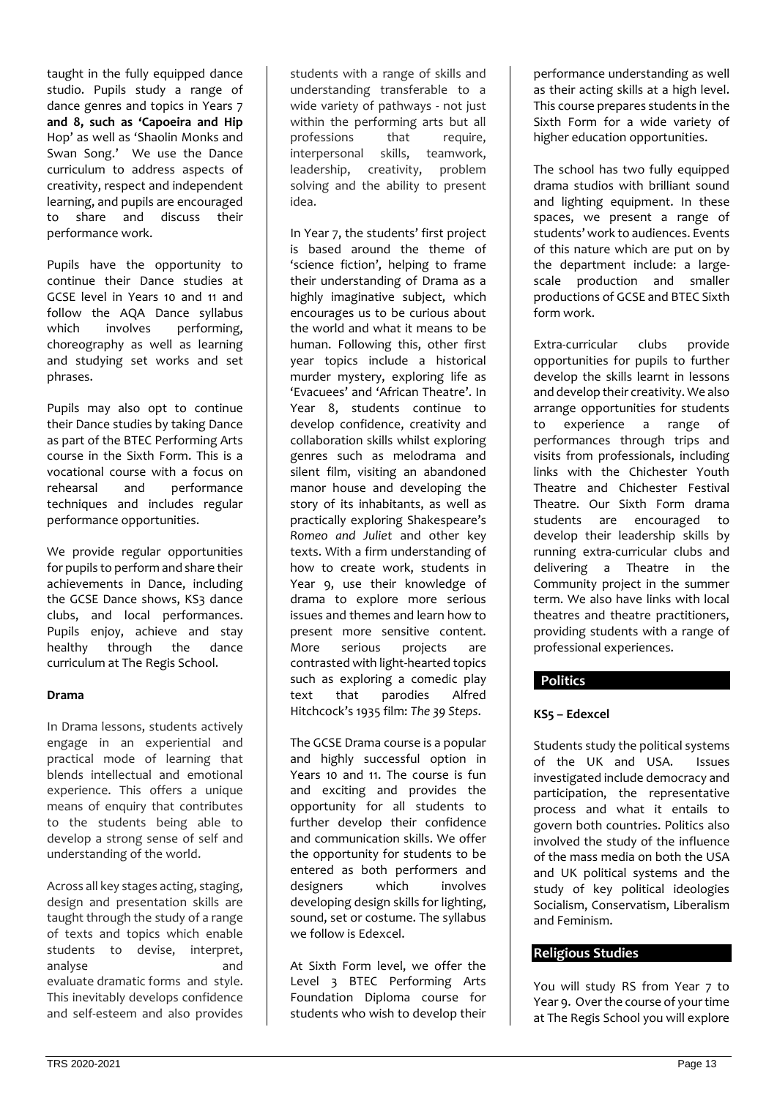taught in the fully equipped dance studio. Pupils study a range of dance genres and topics in Years 7 **and 8, such as 'Capoeira and Hip** Hop' as well as 'Shaolin Monks and Swan Song.' We use the Dance curriculum to address aspects of creativity, respect and independent learning, and pupils are encouraged<br>to share and discuss their to share and discuss performance work.

Pupils have the opportunity to continue their Dance studies at GCSE level in Years 10 and 11 and follow the AQA Dance syllabus which involves performing, choreography as well as learning and studying set works and set phrases.

Pupils may also opt to continue their Dance studies by taking Dance as part of the BTEC Performing Arts course in the Sixth Form. This is a vocational course with a focus on rehearsal and performance techniques and includes regular performance opportunities.

We provide regular opportunities for pupils to perform and share their achievements in Dance, including the GCSE Dance shows, KS3 dance clubs, and local performances. Pupils enjoy, achieve and stay healthy through the dance curriculum at The Regis School.

#### **Drama**

In Drama lessons, students actively engage in an experiential and practical mode of learning that blends intellectual and emotional experience. This offers a unique means of enquiry that contributes to the students being able to develop a strong sense of self and understanding of the world.

Across all key stages acting, staging, design and presentation skills are taught through the study of a range of texts and topics which enable students to devise, interpret, analyse and evaluate dramatic forms and style. This inevitably develops confidence and self-esteem and also provides

students with a range of skills and understanding transferable to a wide variety of pathways - not just within the performing arts but all<br>professions that require. professions that require,<br>interpersonal skills, teamwork, interpersonal leadership, creativity, problem solving and the ability to present idea.

In Year 7, the students' first project is based around the theme of 'science fiction', helping to frame their understanding of Drama as a highly imaginative subject, which encourages us to be curious about the world and what it means to be human. Following this, other first year topics include a historical murder mystery, exploring life as 'Evacuees' and 'African Theatre'. In Year 8, students continue to develop confidence, creativity and collaboration skills whilst exploring genres such as melodrama and silent film, visiting an abandoned manor house and developing the story of its inhabitants, as well as practically exploring Shakespeare's *Romeo and Juliet* and other key texts. With a firm understanding of how to create work, students in Year 9, use their knowledge of drama to explore more serious issues and themes and learn how to present more sensitive content. More serious projects are contrasted with light-hearted topics such as exploring a comedic play text that parodies Alfred Hitchcock's 1935 film: *The 39 Steps*.

The GCSE Drama course is a popular and highly successful option in Years 10 and 11. The course is fun and exciting and provides the opportunity for all students to further develop their confidence and communication skills. We offer the opportunity for students to be entered as both performers and designers which involves developing design skills for lighting, sound, set or costume. The syllabus we follow is Edexcel.

At Sixth Form level, we offer the Level 3 BTEC Performing Arts Foundation Diploma course for students who wish to develop their

performance understanding as well as their acting skills at a high level. This course prepares students in the Sixth Form for a wide variety of higher education opportunities.

The school has two fully equipped drama studios with brilliant sound and lighting equipment. In these spaces, we present a range of students' work to audiences. Events of this nature which are put on by the department include: a largescale production and smaller productions of GCSE and BTEC Sixth form work.

Extra-curricular clubs provide opportunities for pupils to further develop the skills learnt in lessons and develop their creativity. We also arrange opportunities for students to experience a range of performances through trips and visits from professionals, including links with the Chichester Youth Theatre and Chichester Festival Theatre. Our Sixth Form drama students are encouraged to develop their leadership skills by running extra-curricular clubs and delivering a Theatre in the Community project in the summer term. We also have links with local theatres and theatre practitioners, providing students with a range of professional experiences.

# **Politics**

#### **KS5 – Edexcel**

Students study the political systems of the UK and USA. Issues investigated include democracy and participation, the representative process and what it entails to govern both countries. Politics also involved the study of the influence of the mass media on both the USA and UK political systems and the study of key political ideologies Socialism, Conservatism, Liberalism and Feminism.

### **Religious Studies**

You will study RS from Year 7 to Year 9. Over the course of your time at The Regis School you will explore